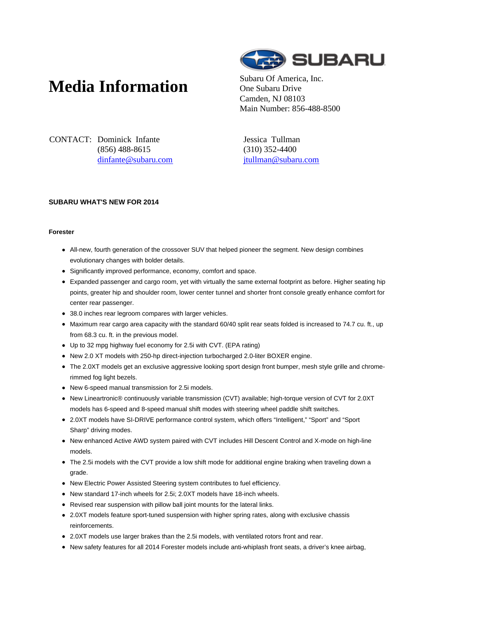# **Media Information** Subaru Of America, Inc.



One Subaru Drive Camden, NJ 08103 Main Number: 856-488-8500

CONTACT: Dominick Infante (856) 488-8615 dinfante@subaru.com Jessica Tullman (310) 352-4400 jtullman@subaru.com

## **SUBARU WHAT'S NEW FOR 2014**

#### **Forester**

- All-new, fourth generation of the crossover SUV that helped pioneer the segment. New design combines evolutionary changes with bolder details.
- Significantly improved performance, economy, comfort and space.
- Expanded passenger and cargo room, yet with virtually the same external footprint as before. Higher seating hip points, greater hip and shoulder room, lower center tunnel and shorter front console greatly enhance comfort for center rear passenger.
- 38.0 inches rear legroom compares with larger vehicles.
- Maximum rear cargo area capacity with the standard 60/40 split rear seats folded is increased to 74.7 cu. ft., up from 68.3 cu. ft. in the previous model.
- Up to 32 mpg highway fuel economy for 2.5i with CVT. (EPA rating)
- New 2.0 XT models with 250-hp direct-injection turbocharged 2.0-liter BOXER engine.
- The 2.0XT models get an exclusive aggressive looking sport design front bumper, mesh style grille and chromerimmed fog light bezels.
- New 6-speed manual transmission for 2.5i models.
- New Lineartronic® continuously variable transmission (CVT) available; high-torque version of CVT for 2.0XT models has 6-speed and 8-speed manual shift modes with steering wheel paddle shift switches.
- 2.0XT models have SI-DRIVE performance control system, which offers "Intelligent," "Sport" and "Sport Sharp" driving modes.
- New enhanced Active AWD system paired with CVT includes Hill Descent Control and X-mode on high-line models.
- The 2.5i models with the CVT provide a low shift mode for additional engine braking when traveling down a grade.
- New Electric Power Assisted Steering system contributes to fuel efficiency.
- New standard 17-inch wheels for 2.5i; 2.0XT models have 18-inch wheels.
- Revised rear suspension with pillow ball joint mounts for the lateral links.
- 2.0XT models feature sport-tuned suspension with higher spring rates, along with exclusive chassis reinforcements.
- 2.0XT models use larger brakes than the 2.5i models, with ventilated rotors front and rear.
- New safety features for all 2014 Forester models include anti-whiplash front seats, a driver's knee airbag,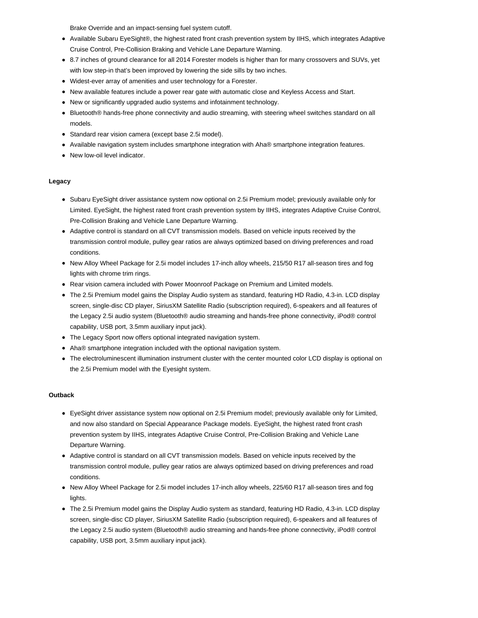Brake Override and an impact-sensing fuel system cutoff.

- Available Subaru EyeSight®, the highest rated front crash prevention system by IIHS, which integrates Adaptive Cruise Control, Pre-Collision Braking and Vehicle Lane Departure Warning.
- 8.7 inches of ground clearance for all 2014 Forester models is higher than for many crossovers and SUVs, yet with low step-in that's been improved by lowering the side sills by two inches.
- Widest-ever array of amenities and user technology for a Forester.
- New available features include a power rear gate with automatic close and Keyless Access and Start.  $\bullet$
- New or significantly upgraded audio systems and infotainment technology.
- Bluetooth® hands-free phone connectivity and audio streaming, with steering wheel switches standard on all models.
- Standard rear vision camera (except base 2.5i model).
- Available navigation system includes smartphone integration with Aha<sup>®</sup> smartphone integration features.
- New low-oil level indicator.

#### **Legacy**

- Subaru EyeSight driver assistance system now optional on 2.5i Premium model; previously available only for Limited. EyeSight, the highest rated front crash prevention system by IIHS, integrates Adaptive Cruise Control, Pre-Collision Braking and Vehicle Lane Departure Warning.
- Adaptive control is standard on all CVT transmission models. Based on vehicle inputs received by the transmission control module, pulley gear ratios are always optimized based on driving preferences and road conditions.
- New Alloy Wheel Package for 2.5i model includes 17-inch alloy wheels, 215/50 R17 all-season tires and fog lights with chrome trim rings.
- Rear vision camera included with Power Moonroof Package on Premium and Limited models.
- The 2.5i Premium model gains the Display Audio system as standard, featuring HD Radio, 4.3-in. LCD display screen, single-disc CD player, SiriusXM Satellite Radio (subscription required), 6-speakers and all features of the Legacy 2.5i audio system (Bluetooth® audio streaming and hands-free phone connectivity, iPod® control capability, USB port, 3.5mm auxiliary input jack).
- The Legacy Sport now offers optional integrated navigation system.
- Aha® smartphone integration included with the optional navigation system.
- The electroluminescent illumination instrument cluster with the center mounted color LCD display is optional on the 2.5i Premium model with the Eyesight system.

#### **Outback**

- EyeSight driver assistance system now optional on 2.5i Premium model; previously available only for Limited, and now also standard on Special Appearance Package models. EyeSight, the highest rated front crash prevention system by IIHS, integrates Adaptive Cruise Control, Pre-Collision Braking and Vehicle Lane Departure Warning.
- Adaptive control is standard on all CVT transmission models. Based on vehicle inputs received by the transmission control module, pulley gear ratios are always optimized based on driving preferences and road conditions.
- New Alloy Wheel Package for 2.5i model includes 17-inch alloy wheels, 225/60 R17 all-season tires and fog lights.
- The 2.5i Premium model gains the Display Audio system as standard, featuring HD Radio, 4.3-in. LCD display screen, single-disc CD player, SiriusXM Satellite Radio (subscription required), 6-speakers and all features of the Legacy 2.5i audio system (Bluetooth® audio streaming and hands-free phone connectivity, iPod® control capability, USB port, 3.5mm auxiliary input jack).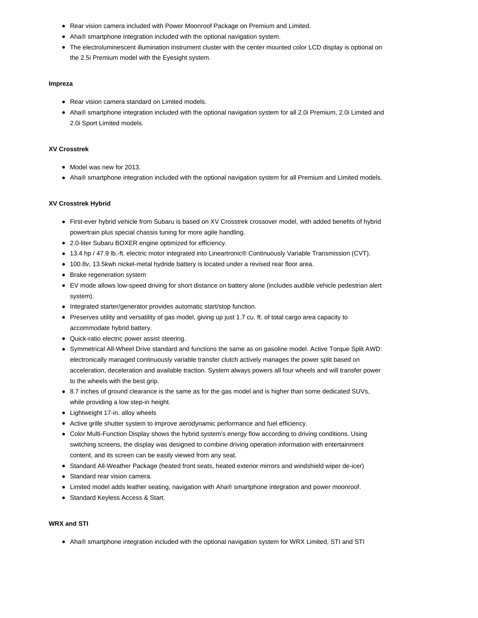- Rear vision camera included with Power Moonroof Package on Premium and Limited.
- Aha® smartphone integration included with the optional navigation system.
- The electroluminescent illumination instrument cluster with the center mounted color LCD display is optional on the 2.5i Premium model with the Eyesight system.

#### **Impreza**

- Rear vision camera standard on Limited models.
- Aha® smartphone integration included with the optional navigation system for all 2.0i Premium, 2.0i Limited and 2.0i Sport Limited models.

#### **XV Crosstrek**

- Model was new for 2013.
- Aha® smartphone integration included with the optional navigation system for all Premium and Limited models.

#### **XV Crosstrek Hybrid**

- First-ever hybrid vehicle from Subaru is based on XV Crosstrek crossover model, with added benefits of hybrid powertrain plus special chassis tuning for more agile handling.
- 2.0-liter Subaru BOXER engine optimized for efficiency.
- 13.4 hp / 47.9 lb.-ft. electric motor integrated into Lineartronic® Continuously Variable Transmission (CVT).
- 100.8v, 13.5kwh nickel-metal hydride battery is located under a revised rear floor area.
- Brake regeneration system
- EV mode allows low-speed driving for short distance on battery alone (includes audible vehicle pedestrian alert system).
- Integrated starter/generator provides automatic start/stop function.
- Preserves utility and versatility of gas model, giving up just 1.7 cu. ft. of total cargo area capacity to accommodate hybrid battery.
- Quick-ratio electric power assist steering.
- Symmetrical All-Wheel Drive standard and functions the same as on gasoline model. Active Torque Split AWD: electronically managed continuously variable transfer clutch actively manages the power split based on acceleration, deceleration and available traction. System always powers all four wheels and will transfer power to the wheels with the best grip.
- 8.7 inches of ground clearance is the same as for the gas model and is higher than some dedicated SUVs, while providing a low step-in height.
- Lightweight 17-in. alloy wheels
- Active grille shutter system to improve aerodynamic performance and fuel efficiency.
- Color Multi-Function Display shows the hybrid system's energy flow according to driving conditions. Using switching screens, the display was designed to combine driving operation information with entertainment content, and its screen can be easily viewed from any seat.
- Standard All-Weather Package (heated front seats, heated exterior mirrors and windshield wiper de-icer)
- Standard rear vision camera.
- Limited model adds leather seating, navigation with Aha® smartphone integration and power moonroof.
- Standard Keyless Access & Start.

## **WRX and STI**

Aha® smartphone integration included with the optional navigation system for WRX Limited, STI and STI